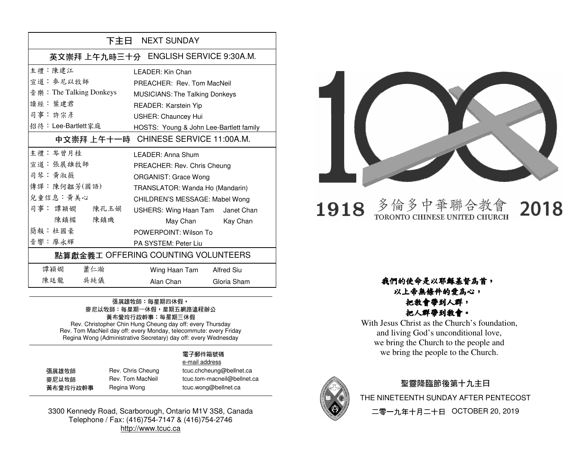| 下主日 NEXT SUNDAY                       |                                         |  |
|---------------------------------------|-----------------------------------------|--|
| 英文崇拜 上午九時三十分 ENGLISH SERVICE 9:30A.M. |                                         |  |
| 主禮 · 陳建江                              | I FADFR: Kin Chan                       |  |
| 宣道 · 麥尼以牧師                            | PREACHER: Rev. Tom MacNeil              |  |
| 音 樂: The Talking Donkeys              | <b>MUSICIANS: The Talking Donkeys</b>   |  |
| 讀經: 葉建君                               | READER: Karstein Yip                    |  |
| 司事:許宗彥                                | <b>USHER: Chauncey Hui</b>              |  |
| 招待: Lee-Bartlett家庭                    | HOSTS: Young & John Lee-Bartlett family |  |
| 中文崇拜 上午十一時                            | CHINESE SERVICE 11:00A.M.               |  |
| 主禮 : 岑曾月桂                             | I FADFR: Anna Shum                      |  |
| 宣道: 張展雄牧師                             | PREACHER: Rev. Chris Cheung             |  |
| 司琴:黄淑薇                                | <b>ORGANIST: Grace Wong</b>             |  |
| 傳譯:陳何韞芳(國語)                           | TRANSLATOR: Wanda Ho (Mandarin)         |  |
| 兒童信息:黃美心                              | CHILDREN'S MESSAGE: Mabel Wong          |  |
| 司事: 譚穎嫺<br>陳孔玉娟                       | USHERS: Wing Haan Tam Janet Chan        |  |
| 陳鎮楣<br>陳鎮璣                            | May Chan Kay Chan                       |  |
| 簡報:杜國豪                                | POWERPOINT: Wilson To                   |  |
| 音響:廖永輝                                | PA SYSTEM: Peter Liu                    |  |
| 點算獻金義工 OFFERING COUNTING VOLUNTEERS   |                                         |  |
| 蕭仁瀚<br>譚穎嫺                            | Wing Haan Tam<br><b>Alfred Siu</b>      |  |
| 陳廷龍<br>吳純儀                            | Alan Chan<br>Gloria Sham                |  |

#### 張展雄牧師:每星期四休假, 麥尼以牧師:每星期一休假,星期五網路遠程辦公 黃布愛玲行政幹事:每星期三休假 Rev. Christopher Chin Hung Cheung day off: every Thursday

 Rev. Tom MacNeil day off: every Monday, telecommute: every Friday Regina Wong (Administrative Secretary) day off: every Wednesday

#### 電子郵件箱號碼 e-mail address

| 張展雄牧師    | Rev. Chris Cheung | tcuc.chcheung@bellnet.ca    |
|----------|-------------------|-----------------------------|
| 麥尼以牧師    | Rev. Tom MacNeil  | tcuc.tom-macneil@bellnet.ca |
| 黃布愛玲行政幹事 | Regina Wong       | tcuc.wong@bellnet.ca        |

ong tcuc.wong@bellnet.ca

3300 Kennedy Road, Scarborough, Ontario M1V 3S8, Canada Telephone / Fax: (416)754-7147 & (416)754-2746 http://www.tcuc.ca



#### 多倫多中華聯合教 1918 TORONTO CHINESE UNITED CHURCH

2018

#### 我們的使命是以耶穌基督為首,以上帝無條件的愛為心,

#### 把教會帶到人群,把人群帶到教會。

 With Jesus Christ as the Church's foundation, and living God's unconditional love, we bring the Church to the people and we bring the people to the Church.



### 聖靈降臨節後第十九主日 THE NINETEENTH SUNDAY AFTER PENTECOST 二零一九年十月二十日 OCTOBER 20, 2019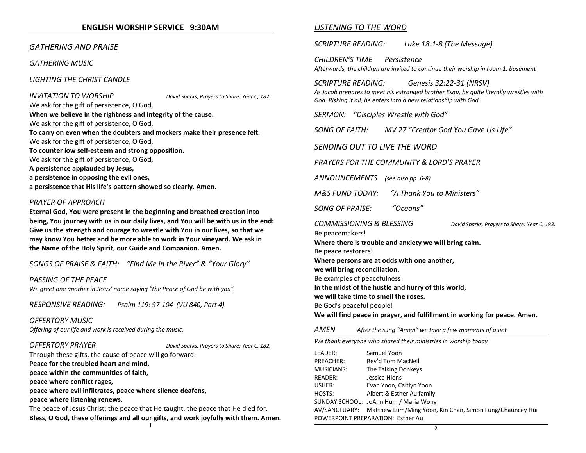#### ENGLISH WORSHIP SERVICE 9:30AM

#### GATHERING AND PRAISE

GATHERING MUSIC

LIGHTING THE CHRIST CANDLE

#### **INVITATION TO WORSHIP** David Sparks, Prayers to Share: Year C, 182.

We ask for the gift of persistence, O God, When we believe in the rightness and integrity of the cause. We ask for the gift of persistence, O God, To carry on even when the doubters and mockers make their presence felt. We ask for the gift of persistence, O God, To counter low self-esteem and strong opposition. We ask for the gift of persistence, O God, A persistence applauded by Jesus, a persistence in opposing the evil ones,

a persistence that His life's pattern showed so clearly. Amen.

#### PRAYER OF APPROACH

Eternal God, You were present in the beginning and breathed creation into being, You journey with us in our daily lives, and You will be with us in the end: Give us the strength and courage to wrestle with You in our lives, so that we may know You better and be more able to work in Your vineyard. We ask in the Name of the Holy Spirit, our Guide and Companion. Amen.

SONGS OF PRAISE & FAITH: "Find Me in the River" & "Your Glory"

#### PASSING OF THE PEACE

We greet one another in Jesus' name saying "the Peace of God be with you".

RESPONSIVE READING: Psalm 119: 97-104 (VU 840, Part 4)

#### OFFERTORY MUSIC

Offering of our life and work is received during the music.

OFFERTORY PRAYER DAVID BONIC Sparks, Prayers to Share: Year C, 182.

Through these gifts, the cause of peace will go forward: Peace for the troubled heart and mind,

peace within the communities of faith,

peace where conflict rages,

peace where evil infiltrates, peace where silence deafens, peace where listening renews.

The peace of Jesus Christ; the peace that He taught, the peace that He died for. Bless, O God, these offerings and all our gifts, and work joyfully with them. Amen.

#### LISTENING TO THE WORD

SCRIPTURE READING: Luke 18:1-8 (The Message)

CHILDREN'S TIME Persistence Afterwards, the children are invited to continue their worship in room 1, basement

SCRIPTURE READING: Genesis 32:22-31 (NRSV)

As Jacob prepares to meet his estranged brother Esau, he quite literally wrestles with God. Risking it all, he enters into a new relationship with God.

SERMON: "Disciples Wrestle with God"

SONG OF FAITH: MV 27 "Creator God You Gave Us Life"

#### SENDING OUT TO LIVE THE WORD

PRAYERS FOR THE COMMUNITY & LORD'S PRAYER

ANNOUNCEMENTS (see also pp. 6-8)

M&S FUND TODAY: "A Thank You to Ministers"

SONG OF PRAISE: "Oceans"

COMMISSIONING & BLESSING David Sparks, Prayers to Share: Year C, 183.

Be peacemakers! Where there is trouble and anxiety we will bring calm.Be peace restorers! Where persons are at odds with one another, we will bring reconciliation.Be examples of peacefulness! In the midst of the hustle and hurry of this world,we will take time to smell the roses. Be God's peaceful people! We will find peace in prayer, and fulfillment in working for peace. Amen.

AMENAfter the sung "Amen" we take a few moments of quiet

We thank everyone who shared their ministries in worship today

| LEADER:                           | Samuel Yoon                                                            |  |
|-----------------------------------|------------------------------------------------------------------------|--|
| PREACHER:                         | Rev'd Tom MacNeil                                                      |  |
| MUSICIANS:                        | The Talking Donkeys                                                    |  |
| READER:                           | Jessica Hions                                                          |  |
| USHER:                            | Evan Yoon, Caitlyn Yoon                                                |  |
| HOSTS:                            | Albert & Esther Au family                                              |  |
|                                   | SUNDAY SCHOOL: JoAnn Hum / Maria Wong                                  |  |
|                                   | AV/SANCTUARY: Matthew Lum/Ming Yoon, Kin Chan, Simon Fung/Chauncey Hui |  |
| POWERPOINT PREPARATION: Esther Au |                                                                        |  |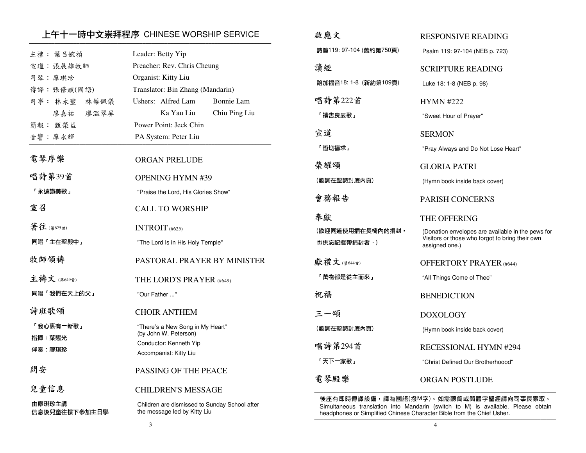### 上午十一時中文崇拜程序 CHINESE WORSHIP SERVICE ─────────────────────────────────────────────────────────────────────────────

| 主禮: 葉呂婉禎                | Leader: Betty Yip                                                             | 詩        |
|-------------------------|-------------------------------------------------------------------------------|----------|
| 宣道:張展雄牧師                | Preacher: Rev. Chris Cheung                                                   | 讀        |
| 司琴:廖琪珍                  | Organist: Kitty Liu                                                           | 路        |
| 傳譯:張修斌(國語)              | Translator: Bin Zhang (Mandarin)                                              |          |
| 司事: 林永豐<br>林蔡佩儀         | Ushers: Alfred Lam<br>Bonnie Lam                                              | 唱        |
| 廖嘉祐<br>廖温翠屏             | Ka Yau Liu<br>Chiu Ping Liu                                                   | $\Gamma$ |
| 簡報: 甄榮益                 | Power Point: Jeck Chin                                                        |          |
| 音響:廖永輝                  | PA System: Peter Liu                                                          | 宣        |
| 電琴序樂                    | <b>ORGAN PRELUDE</b>                                                          | $\Gamma$ |
|                         |                                                                               | 榮        |
| 唱詩第39首                  | <b>OPENING HYMN #39</b>                                                       | (哥)      |
| 「永遠讚美歌」                 | "Praise the Lord, His Glories Show"                                           | 會        |
| 宣召                      | <b>CALL TO WORSHIP</b>                                                        | 奉        |
| 著往(第625首)               | INTROIT (#625)                                                                | (翟       |
| 同唱「主在聖殿中」               | "The Lord Is in His Holy Temple"                                              | 也        |
| 牧師領禱                    | PASTORAL PRAYER BY MINISTER                                                   | 獻        |
| 主禱文 (第649首)             | THE LORD'S PRAYER (#649)                                                      | $\Gamma$ |
| 同唱「我們在天上的父」             | "Our Father "                                                                 | 祝        |
| 詩班歌頌                    | <b>CHOIR ANTHEM</b>                                                           | 三        |
| 「我心裏有一新歌」               | "There's a New Song in My Heart"<br>(by John W. Peterson)                     | (哥       |
| 指揮 葉賜光                  | Conductor: Kenneth Yip                                                        | 唱        |
| 伴奏 廖琪珍                  | Accompanist: Kitty Liu                                                        | г.       |
| 問安                      | PASSING OF THE PEACE                                                          |          |
|                         |                                                                               | 電        |
| 兒童信息                    | <b>CHILDREN'S MESSAGE</b>                                                     | 徝        |
| 由廖琪珍主講<br>信息後兒童往樓下參加主日學 | Children are dismissed to Sunday School after<br>the message led by Kitty Liu | S<br>h   |
|                         |                                                                               |          |

| 啟應文                             | <b>RESPONSIVE READING</b>                                                                                              |
|---------------------------------|------------------------------------------------------------------------------------------------------------------------|
| 詩篇119:97-104 (舊約第750頁)          | Psalm 119: 97-104 (NEB p. 723)                                                                                         |
| 請經                              | SCRIPTURE READING                                                                                                      |
| 路加福音18: 1-8 (新約第109頁)           | Luke 18: 1-8 (NEB p. 98)                                                                                               |
| 唱詩第222首                         | <b>HYMN #222</b>                                                                                                       |
| 「禱告良辰歌」                         | "Sweet Hour of Prayer"                                                                                                 |
| 宣道                              | <b>SERMON</b>                                                                                                          |
| 「恆切禱求」                          | "Pray Always and Do Not Lose Heart"                                                                                    |
| 榮耀頌                             | GLORIA PATRI                                                                                                           |
| (歌詞在聖詩封底內頁)                     | (Hymn book inside back cover)                                                                                          |
| 會務報告                            | <b>PARISH CONCERNS</b>                                                                                                 |
|                                 |                                                                                                                        |
| 奉獻                              | THE OFFERING                                                                                                           |
| (歡迎同道使用插在長椅內的捐封,<br>也供忘記攜帶捐封者。) | (Donation envelopes are available in the pews for<br>Visitors or those who forgot to bring their own<br>assigned one.) |
| 獻禮文(第644首)                      | <b>OFFERTORY PRAYER (#644)</b>                                                                                         |
| 「萬物都是從主而來」                      | "All Things Come of Thee"                                                                                              |
| 祝福                              | <b>BENEDICTION</b>                                                                                                     |
| 三一頌                             | <b>DOXOLOGY</b>                                                                                                        |
| (歌詞在聖詩封底內頁)                     | (Hymn book inside back cover)                                                                                          |
| 唱詩第294首                         | RECESSIONAL HYMN #294                                                                                                  |
| 「天下一家歌」                         | "Christ Defined Our Brotherhoood"                                                                                      |

後座有即時傳譯設備,譯為國語(撥M字)。如需聽筒或簡體字聖經請向司事長索取。 Simultaneous translation into Mandarin (switch to M) is available. Please obtain headphones or Simplified Chinese Character Bible from the Chief Usher.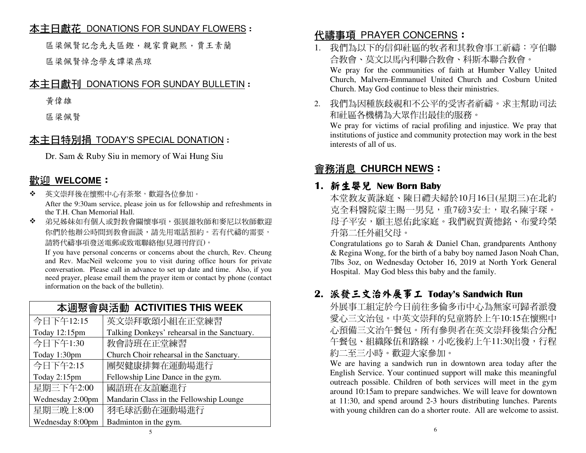### <u>本主日獻花 DONATIONS FOR SUNDAY FLOWERS</u> :<br>.

區梁佩賢記念先夫區鏗,親家賈觀熙,賈王素蘭區梁佩賢悼念學友譚梁燕琼

## 本主日獻刊 DONATIONS FOR SUNDAY BULLETIN:

黃偉雄

區梁佩賢

## 本主日特別捐 TODAY'S SPECIAL DONATION:

Dr. Sam & Ruby Siu in memory of Wai Hung Siu

# 歡迎 **WELCOME**:

- 泰兰 英文崇拜後在懷熙中心有茶聚,歡迎各位參加。 After the 9:30am service, please join us for fellowship and refreshments in the T.H. Chan Memorial Hall.
- ◆ 弟兄姊妹如有個人或對教會關懷事項,張展雄牧師和麥尼以牧師歡迎  $\mathcal{L}^{\bullet}$ 你們於他辦公時間到教會面談,請先用電話預約。若有代禱的需要, 請將代禱事項發送電郵或致電聯絡他(見週刊背頁)。

 If you have personal concerns or concerns about the church, Rev. Cheung and Rev. MacNeil welcome you to visit during office hours for private conversation. Please call in advance to set up date and time. Also, if you need prayer, please email them the prayer item or contact by phone (contact information on the back of the bulletin).

| 本调聚會與活動 ACTIVITIES THIS WEEK |                                              |  |
|------------------------------|----------------------------------------------|--|
| 今日下午12:15                    | 英文崇拜歌頌小組在正堂練習                                |  |
| Today 12:15pm                | Talking Donkeys' rehearsal in the Sanctuary. |  |
| 今日下午1:30                     | 教會詩班在正堂練習                                    |  |
| Today 1:30pm                 | Church Choir rehearsal in the Sanctuary.     |  |
| 今日下午2:15                     | 團契健康排舞在運動場進行                                 |  |
| Today 2:15pm                 | Fellowship Line Dance in the gym.            |  |
| 星期三下午2:00                    | 國語班在友誼廳進行                                    |  |
| Wednesday 2:00pm             | Mandarin Class in the Fellowship Lounge      |  |
| 星期三晚上8:00                    | 羽毛球活動在運動場進行                                  |  |
| Wednesday 8:00pm             | Badminton in the gym.                        |  |

# <mark>代禱事項 PRAYER CONCERNS</mark>:<br>1.我們为以下的信仰社區的物老和其

- 1. 我們為以下的信仰社區的牧者和其教會事工祈禱:亨伯聯合教會、莫文以馬內利聯合教會、科斯本聯合教會。 We pray for the communities of faith at Humber Valley United Church, Malvern-Emmanuel United Church and Cosburn United Church. May God continue to bless their ministries.
- 2. 我們為因種族歧視和不公平的受害者祈禱。求主幫助司法和社區各機構為大眾作出最佳的服務。

 We pray for victims of racial profiling and injustice. We pray that institutions of justice and community protection may work in the best interests of all of us.

# 會務消息 **CHURCH NEWS**:

### 1. 新生婴兒 New Born Baby<br>木堂数友董詠庭、随日禮去

本堂教友黃詠庭、陳日禮夫婦於10月16日(星期三)在北約克全科醫院蒙主賜一男兒,重7磅3安士,取名陳宇琛。 母子平安,願主恩佑此家庭。我們祝賀黃德銘、布愛玲榮 升第二任外祖父母。

 Congratulations go to Sarah & Daniel Chan, grandparents Anthony & Regina Wong, for the birth of a baby boy named Jason Noah Chan, 7lbs 3oz, on Wednesday October 16, 2019 at North York General Hospital. May God bless this baby and the family.

# 2. 派發三文治外展事工 Today's Sandwich Run<br>从展事工組完於会日前往多倫多市由心色無家可!

外展事工組定於今日前往多倫多市中心為無家可歸者派發 愛心三文治包。中英文崇拜的兒童將於上午10:15在懷熙中 心預備三文治午餐包。所有參與者在英文崇拜後集合分配午餐包、組織隊伍和路線,小吃後約上午11:30出發,行程 約二至三小時。歡迎大家參加。

 We are having a sandwich run in downtown area today after the English Service. Your continued support will make this meaningful outreach possible. Children of both services will meet in the gym around 10:15am to prepare sandwiches. We will leave for downtown at 11:30, and spend around 2-3 hours distributing lunches. Parents with young children can do a shorter route. All are welcome to assist.